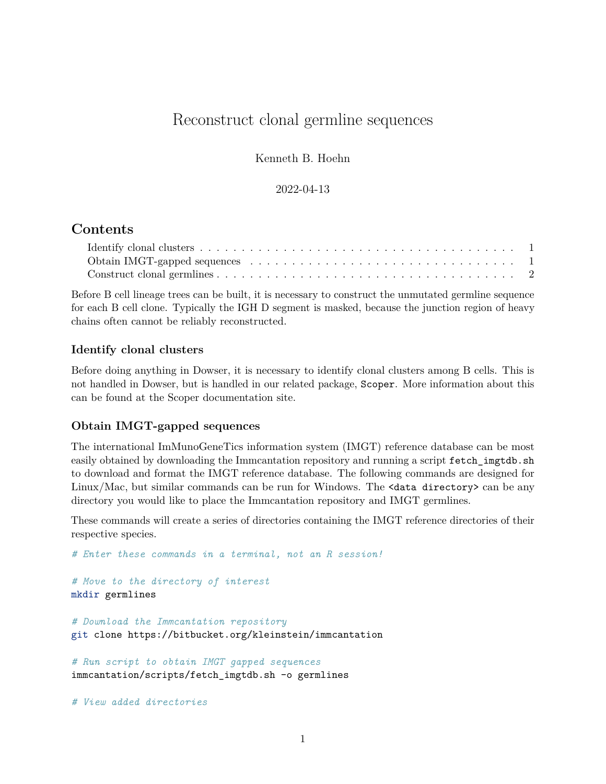# Reconstruct clonal germline sequences

Kenneth B. Hoehn

#### 2022-04-13

# **Contents**

| Obtain IMGT-gapped sequences $\ldots \ldots \ldots \ldots \ldots \ldots \ldots \ldots \ldots \ldots \ldots 1$ |  |
|---------------------------------------------------------------------------------------------------------------|--|
|                                                                                                               |  |

Before B cell lineage trees can be built, it is necessary to construct the unmutated germline sequence for each B cell clone. Typically the IGH D segment is masked, because the junction region of heavy chains often cannot be reliably reconstructed.

## <span id="page-0-0"></span>**Identify clonal clusters**

Before doing anything in Dowser, it is necessary to identify clonal clusters among B cells. This is not handled in Dowser, but is handled in our related package, Scoper. More information about this can be found at the [Scoper documentation site.](https://scoper.readthedocs.io)

#### <span id="page-0-1"></span>**Obtain IMGT-gapped sequences**

The international ImMunoGeneTics information system [\(IMGT\)](https://www.imgt.org) [reference database](https://www.imgt.org/genedb) can be most easily obtained by downloading the Immcantation repository and running a script  $fectch\_ingtdb.sh$ to download and format the IMGT reference database. The following commands are designed for Linux/Mac, but similar commands can be run for Windows. The <data directory> can be any directory you would like to place the Immcantation repository and IMGT germlines.

These commands will create a series of directories containing the IMGT reference directories of their respective species.

```
# Enter these commands in a terminal, not an R session!
# Move to the directory of interest
mkdir germlines
# Download the Immcantation repository
git clone https://bitbucket.org/kleinstein/immcantation
# Run script to obtain IMGT gapped sequences
immcantation/scripts/fetch_imgtdb.sh -o germlines
```
*# View added directories*